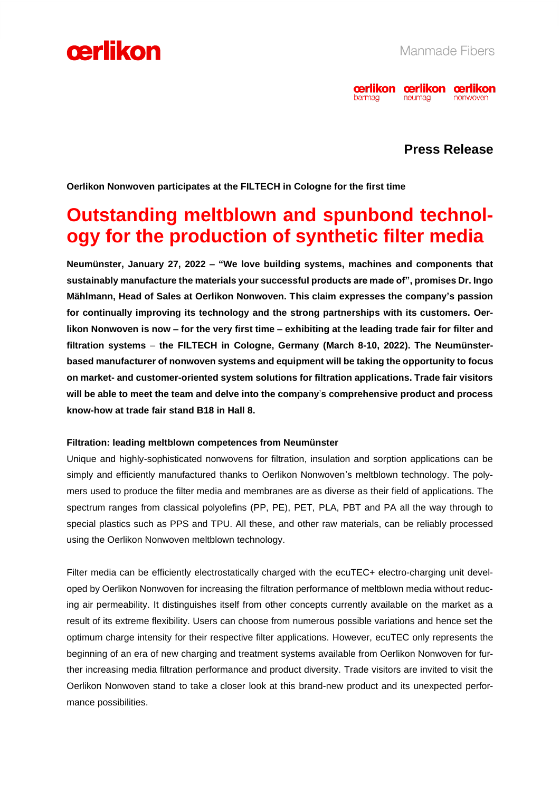



### **Press Release**

**Oerlikon Nonwoven participates at the FILTECH in Cologne for the first time**

## **Outstanding meltblown and spunbond technology for the production of synthetic filter media**

**Neumünster, January 27, 2022 – "We love building systems, machines and components that sustainably manufacture the materials your successful products are made of", promises Dr. Ingo Mählmann, Head of Sales at Oerlikon Nonwoven. This claim expresses the company's passion for continually improving its technology and the strong partnerships with its customers. Oerlikon Nonwoven is now – for the very first time – exhibiting at the leading trade fair for filter and filtration systems** – **the FILTECH in Cologne, Germany (March 8-10, 2022). The Neumünsterbased manufacturer of nonwoven systems and equipment will be taking the opportunity to focus on market- and customer-oriented system solutions for filtration applications. Trade fair visitors will be able to meet the team and delve into the company**'**s comprehensive product and process know-how at trade fair stand B18 in Hall 8.**

#### **Filtration: leading meltblown competences from Neumünster**

Unique and highly-sophisticated nonwovens for filtration, insulation and sorption applications can be simply and efficiently manufactured thanks to Oerlikon Nonwoven's meltblown technology. The polymers used to produce the filter media and membranes are as diverse as their field of applications. The spectrum ranges from classical polyolefins (PP, PE), PET, PLA, PBT and PA all the way through to special plastics such as PPS and TPU. All these, and other raw materials, can be reliably processed using the Oerlikon Nonwoven meltblown technology.

Filter media can be efficiently electrostatically charged with the ecuTEC+ electro-charging unit developed by Oerlikon Nonwoven for increasing the filtration performance of meltblown media without reducing air permeability. It distinguishes itself from other concepts currently available on the market as a result of its extreme flexibility. Users can choose from numerous possible variations and hence set the optimum charge intensity for their respective filter applications. However, ecuTEC only represents the beginning of an era of new charging and treatment systems available from Oerlikon Nonwoven for further increasing media filtration performance and product diversity. Trade visitors are invited to visit the Oerlikon Nonwoven stand to take a closer look at this brand-new product and its unexpected performance possibilities.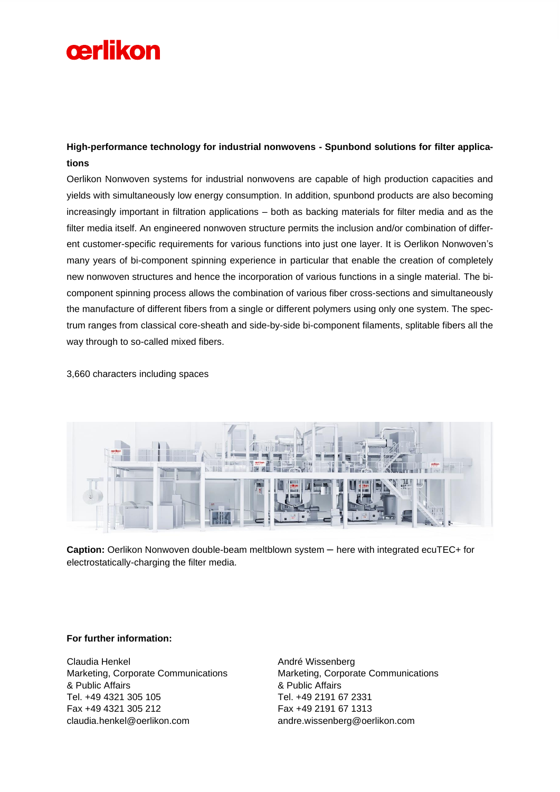# cerlikon

### **High-performance technology for industrial nonwovens - Spunbond solutions for filter applications**

Oerlikon Nonwoven systems for industrial nonwovens are capable of high production capacities and yields with simultaneously low energy consumption. In addition, spunbond products are also becoming increasingly important in filtration applications – both as backing materials for filter media and as the filter media itself. An engineered nonwoven structure permits the inclusion and/or combination of different customer-specific requirements for various functions into just one layer. It is Oerlikon Nonwoven's many years of bi-component spinning experience in particular that enable the creation of completely new nonwoven structures and hence the incorporation of various functions in a single material. The bicomponent spinning process allows the combination of various fiber cross-sections and simultaneously the manufacture of different fibers from a single or different polymers using only one system. The spectrum ranges from classical core-sheath and side-by-side bi-component filaments, splitable fibers all the way through to so-called mixed fibers.

3,660 characters including spaces



**Caption:** Oerlikon Nonwoven double-beam meltblown system – here with integrated ecuTEC+ for electrostatically-charging the filter media.

#### **For further information:**

Claudia Henkel Marketing, Corporate Communications & Public Affairs Tel. +49 4321 305 105 Fax +49 4321 305 212 claudia.henkel@oerlikon.com

André Wissenberg Marketing, Corporate Communications & Public Affairs Tel. +49 2191 67 2331 Fax +49 2191 67 1313 andre.wissenberg@oerlikon.com